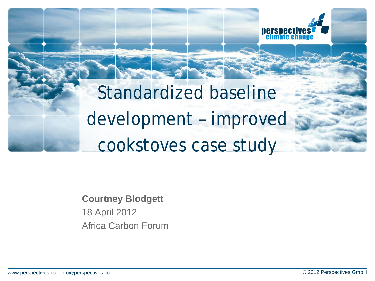

# Standardized baseline development – improved cookstoves case study

**Courtney Blodgett** 18 April 2012 Africa Carbon Forum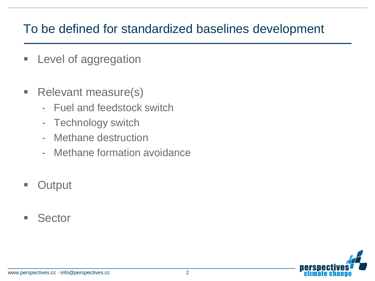# To be defined for standardized baselines development

- **EXELGE** Level of aggregation
- **Relevant measure(s)** 
	- Fuel and feedstock switch
	- Technology switch
	- Methane destruction
	- Methane formation avoidance
- **-** Output
- Sector

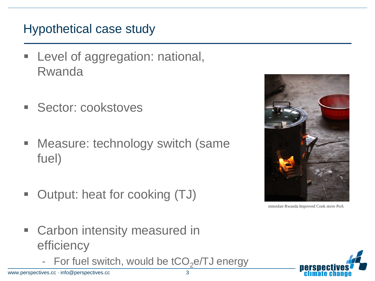#### www.perspectives.cc · info@perspectives.cc

efficiency

#### Hypothetical case study

- Level of aggregation: national, Rwanda
- **Sector: cookstoves**
- **Measure: technology switch (same** fuel)
- **Output: heat for cooking (TJ)**

**Example 13 Carbon intensity measured in** 

- For fuel switch, would be  $tCO_2e/TJ$  energy



stmosfair Rwanda Improved Cook stove PoA

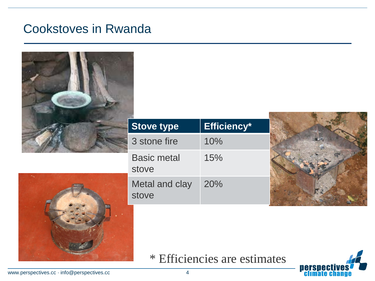#### Cookstoves in Rwanda



| <b>Stove type</b>           | Efficiency* |  |
|-----------------------------|-------------|--|
| 3 stone fire                | 10%         |  |
| <b>Basic metal</b><br>stove | 15%         |  |
| Metal and clay<br>stove     | 20%         |  |



\* Efficiencies are estimates

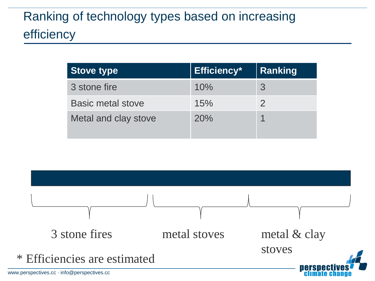# Ranking of technology types based on increasing efficiency

| Stove type               | <b>Efficiency*</b> | Ranking       |
|--------------------------|--------------------|---------------|
| 3 stone fire             | 10%                | 3             |
| <b>Basic metal stove</b> | 15%                | $\mathcal{P}$ |
| Metal and clay stove     | 20%                |               |

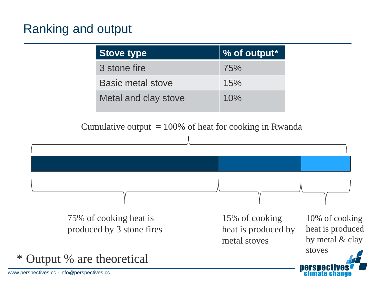#### Ranking and output

| <b>Stove type</b>        | $\frac{9}{6}$ of output* |
|--------------------------|--------------------------|
| 3 stone fire             | <b>75%</b>               |
| <b>Basic metal stove</b> | 15%                      |
| Metal and clay stove     | 10%                      |

Cumulative output  $= 100\%$  of heat for cooking in Rwanda

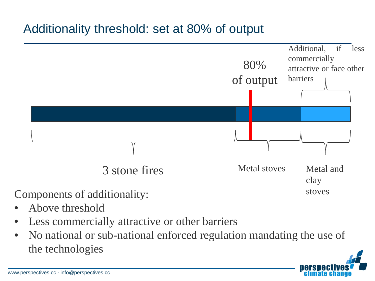# Additionality threshold: set at 80% of output



Components of additionality:

- Above threshold
- Less commercially attractive or other barriers
- No national or sub-national enforced regulation mandating the use of the technologies

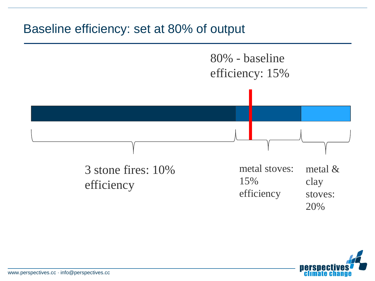Baseline efficiency: set at 80% of output



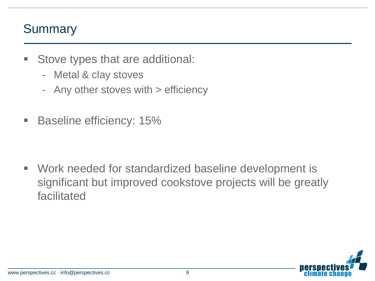### **Summary**

- **Stove types that are additional:** 
	- Metal & clay stoves
	- Any other stoves with > efficiency
- **Baseline efficiency: 15%**

 Work needed for standardized baseline development is significant but improved cookstove projects will be greatly facilitated